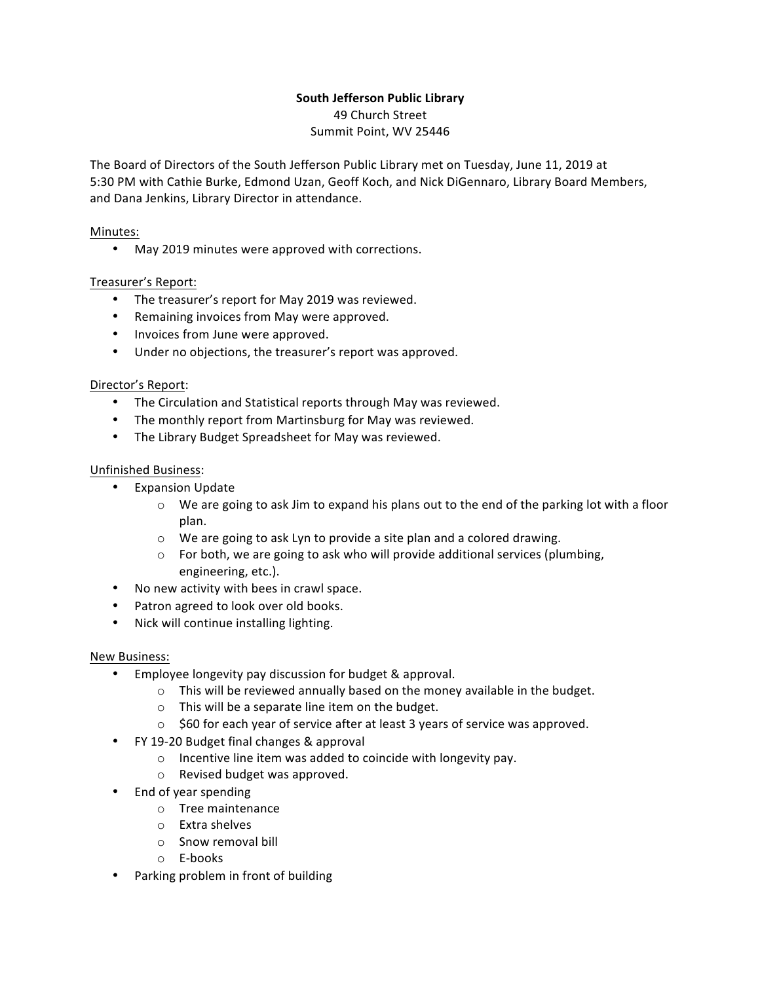# **South Jefferson Public Library**

49 Church Street Summit Point, WV 25446

The Board of Directors of the South Jefferson Public Library met on Tuesday, June 11, 2019 at 5:30 PM with Cathie Burke, Edmond Uzan, Geoff Koch, and Nick DiGennaro, Library Board Members, and Dana Jenkins, Library Director in attendance.

## Minutes:

• May 2019 minutes were approved with corrections.

## Treasurer's Report:

- The treasurer's report for May 2019 was reviewed.
- Remaining invoices from May were approved.
- Invoices from June were approved.
- Under no objections, the treasurer's report was approved.

## Director's Report:

- The Circulation and Statistical reports through May was reviewed.
- The monthly report from Martinsburg for May was reviewed.
- The Library Budget Spreadsheet for May was reviewed.

## Unfinished Business:

- Expansion Update
	- $\circ$  We are going to ask Jim to expand his plans out to the end of the parking lot with a floor plan.
	- $\circ$  We are going to ask Lyn to provide a site plan and a colored drawing.
	- $\circ$  For both, we are going to ask who will provide additional services (plumbing, engineering, etc.).
- No new activity with bees in crawl space.
- Patron agreed to look over old books.
- Nick will continue installing lighting.

### New Business:

- Employee longevity pay discussion for budget & approval.
	- $\circ$  This will be reviewed annually based on the money available in the budget.
		- $\circ$  This will be a separate line item on the budget.
		- $\circ$  \$60 for each year of service after at least 3 years of service was approved.
- FY 19-20 Budget final changes & approval
	- $\circ$  Incentive line item was added to coincide with longevity pay.
	- $\circ$  Revised budget was approved.
- End of year spending
	- $\circ$  Tree maintenance
	- $\circ$  Extra shelves
	- $\circ$  Snow removal bill
	- o E-books
- Parking problem in front of building